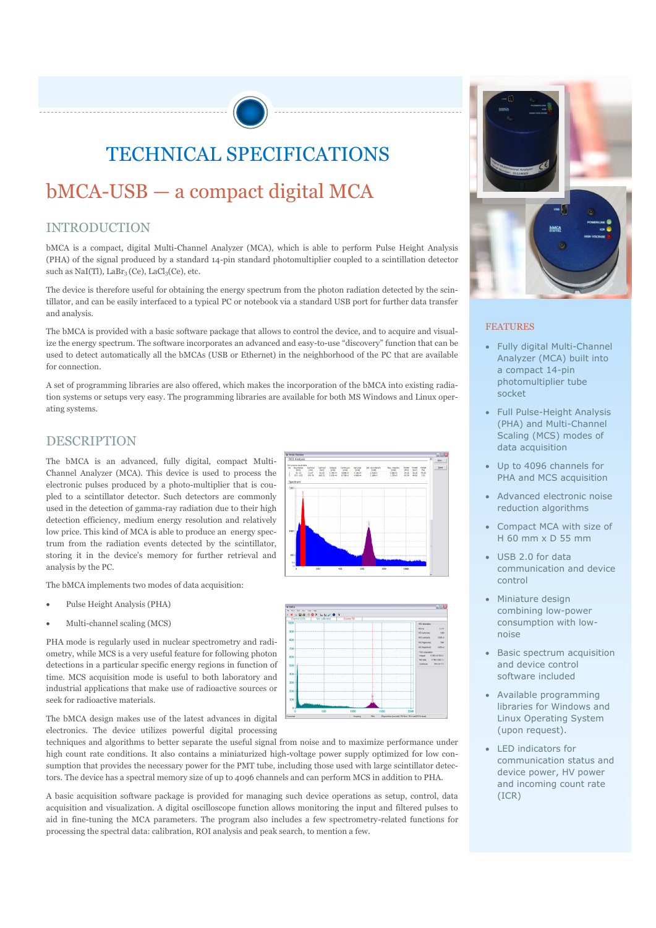## TECHNICAL SPECIFICATIONS

### bMCA-USB — a compact digital MCA

#### INTRODUCTION

bMCA is a compact, digital Multi-Channel Analyzer (MCA), which is able to perform Pulse Height Analysis (PHA) of the signal produced by a standard 14-pin standard photomultiplier coupled to a scintillation detector such as NaI(Tl), LaBr<sub>3</sub> (Ce), LaCl<sub>3</sub>(Ce), etc.

The device is therefore useful for obtaining the energy spectrum from the photon radiation detected by the scintillator, and can be easily interfaced to a typical PC or notebook via a standard USB port for further data transfer and analysis.

The bMCA is provided with a basic software package that allows to control the device, and to acquire and visualize the energy spectrum. The software incorporates an advanced and easy-to-use "discovery" function that can be used to detect automatically all the bMCAs (USB or Ethernet) in the neighborhood of the PC that are available for connection.

A set of programming libraries are also offered, which makes the incorporation of the bMCA into existing radiation systems or setups very easy. The programming libraries are available for both MS Windows and Linux operating systems.

#### DESCRIPTION

The bMCA is an advanced, fully digital, compact Multi-Channel Analyzer (MCA). This device is used to process the electronic pulses produced by a photo-multiplier that is coupled to a scintillator detector. Such detectors are commonly used in the detection of gamma-ray radiation due to their high detection efficiency, medium energy resolution and relatively low price. This kind of MCA is able to produce an energy spectrum from the radiation events detected by the scintillator, storing it in the device's memory for further retrieval and analysis by the PC.

The bMCA implements two modes of data acquisition:

- Pulse Height Analysis (PHA)
- Multi-channel scaling (MCS)

PHA mode is regularly used in nuclear spectrometry and radiometry, while MCS is a very useful feature for following photon detections in a particular specific energy regions in function of time. MCS acquisition mode is useful to both laboratory and industrial applications that make use of radioactive sources or seek for radioactive materials.

The bMCA design makes use of the latest advances in digital electronics. The device utilizes powerful digital processing

techniques and algorithms to better separate the useful signal from noise and to maximize performance under high count rate conditions. It also contains a miniaturized high-voltage power supply optimized for low consumption that provides the necessary power for the PMT tube, including those used with large scintillator detectors. The device has a spectral memory size of up to 4096 channels and can perform MCS in addition to PHA.

A basic acquisition software package is provided for managing such device operations as setup, control, data acquisition and visualization. A digital oscilloscope function allows monitoring the input and filtered pulses to aid in fine-tuning the MCA parameters. The program also includes a few spectrometry-related functions for processing the spectral data: calibration, ROI analysis and peak search, to mention a few.







#### FEATURES

- Fully digital Multi-Channel Analyzer (MCA) built into a compact 14-pin photomultiplier tube socket
- Full Pulse-Height Analysis (PHA) and Multi-Channel Scaling (MCS) modes of data acquisition
- Up to 4096 channels for PHA and MCS acquisition
- Advanced electronic noise reduction algorithms
- Compact MCA with size of H 60 mm x D 55 mm
- USB 2.0 for data communication and device control
- Miniature design combining low-power consumption with lownoise
- Basic spectrum acquisition and device control software included
- Available programming libraries for Windows and Linux Operating System (upon request).
- LED indicators for communication status and device power, HV power and incoming count rate (ICR)